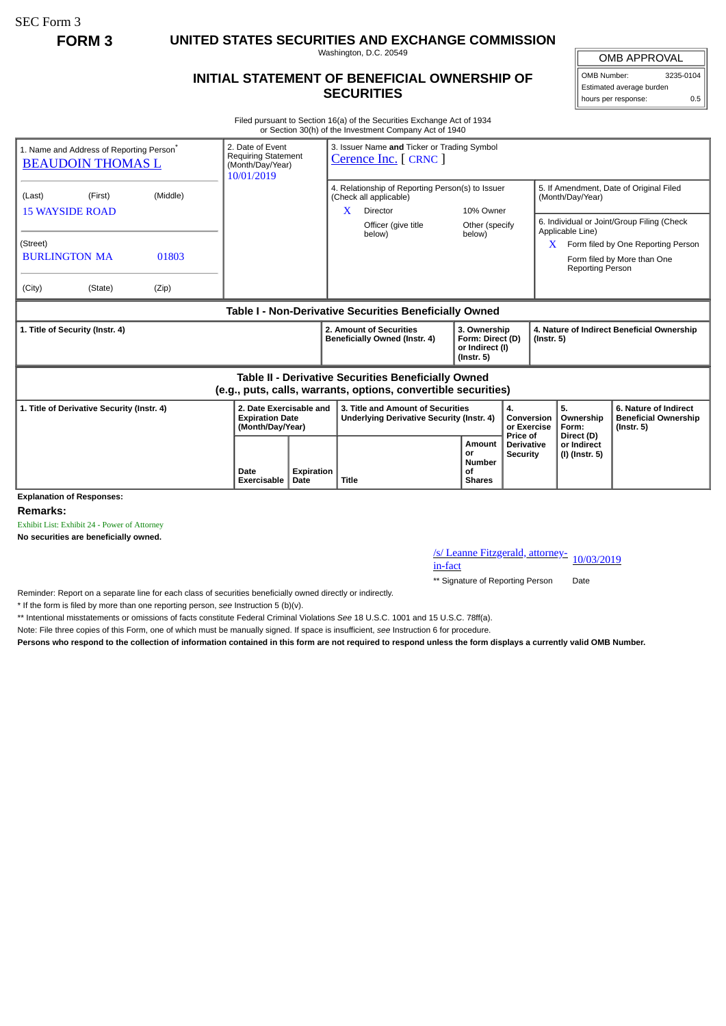SEC Form 3

**FORM 3 UNITED STATES SECURITIES AND EXCHANGE COMMISSION**

Washington, D.C. 20549

## **INITIAL STATEMENT OF BENEFICIAL OWNERSHIP OF SECURITIES**

OMB APPROVAL OMB Number: 3235-0104

Estimated average burden hours per response: 0.5

Filed pursuant to Section 16(a) of the Securities Exchange Act of 1934 or Section 30(h) of the Investment Company Act of 1940

| 1. Name and Address of Reporting Person <sup>®</sup><br><b>BEAUDOIN THOMAS L</b>                                      | 2. Date of Event<br><b>Requiring Statement</b><br>(Month/Day/Year)<br>10/01/2019 |                   | 3. Issuer Name and Ticker or Trading Symbol<br>Cerence Inc. [ CRNC ]                        |                                                                         |                                                  |                                                                |                                                                                                                 |  |
|-----------------------------------------------------------------------------------------------------------------------|----------------------------------------------------------------------------------|-------------------|---------------------------------------------------------------------------------------------|-------------------------------------------------------------------------|--------------------------------------------------|----------------------------------------------------------------|-----------------------------------------------------------------------------------------------------------------|--|
| (Middle)<br>(Last)<br>(First)<br><b>15 WAYSIDE ROAD</b>                                                               |                                                                                  |                   | 4. Relationship of Reporting Person(s) to Issuer<br>(Check all applicable)<br>X<br>Director | 10% Owner                                                               |                                                  | 5. If Amendment, Date of Original Filed<br>(Month/Day/Year)    |                                                                                                                 |  |
| (Street)<br><b>BURLINGTON MA</b><br>01803<br>(City)<br>(Zip)<br>(State)                                               |                                                                                  |                   | Officer (give title<br>below)                                                               | Other (specify<br>below)                                                |                                                  | Applicable Line)<br><b>Reporting Person</b>                    | 6. Individual or Joint/Group Filing (Check<br>Form filed by One Reporting Person<br>Form filed by More than One |  |
| Table I - Non-Derivative Securities Beneficially Owned                                                                |                                                                                  |                   |                                                                                             |                                                                         |                                                  |                                                                |                                                                                                                 |  |
| 1. Title of Security (Instr. 4)                                                                                       |                                                                                  |                   | 2. Amount of Securities<br>Beneficially Owned (Instr. 4)                                    | 3. Ownership<br>Form: Direct (D)<br>or Indirect (I)<br>$($ lnstr. 5 $)$ |                                                  | 4. Nature of Indirect Beneficial Ownership<br>$($ Instr. 5 $)$ |                                                                                                                 |  |
| Table II - Derivative Securities Beneficially Owned<br>(e.g., puts, calls, warrants, options, convertible securities) |                                                                                  |                   |                                                                                             |                                                                         |                                                  |                                                                |                                                                                                                 |  |
| 1. Title of Derivative Security (Instr. 4)                                                                            | 2. Date Exercisable and<br><b>Expiration Date</b><br>(Month/Day/Year)            |                   | 3. Title and Amount of Securities<br>Underlying Derivative Security (Instr. 4)              | 4.<br>Conversion<br>or Exercise                                         |                                                  | 5.<br>Ownership<br>Form:                                       | 6. Nature of Indirect<br><b>Beneficial Ownership</b><br>$($ lnstr. 5 $)$                                        |  |
| <b>Explanation of Responses:</b>                                                                                      | Date<br>Exercisable<br>Date                                                      | <b>Expiration</b> | Title                                                                                       | <b>Amount</b><br>or<br><b>Number</b><br>οf<br><b>Shares</b>             | Price of<br><b>Derivative</b><br><b>Security</b> | Direct (D)<br>or Indirect<br>(I) (Instr. 5)                    |                                                                                                                 |  |

**Remarks:**

Exhibit List: Exhibit 24 - Power of Attorney

**No securities are beneficially owned.**

/s/ Leanne Fitzgerald, attorney-<br>in-fact

\*\* Signature of Reporting Person Date

Reminder: Report on a separate line for each class of securities beneficially owned directly or indirectly.

\* If the form is filed by more than one reporting person, *see* Instruction 5 (b)(v).

\*\* Intentional misstatements or omissions of facts constitute Federal Criminal Violations *See* 18 U.S.C. 1001 and 15 U.S.C. 78ff(a).

Note: File three copies of this Form, one of which must be manually signed. If space is insufficient, *see* Instruction 6 for procedure.

**Persons who respond to the collection of information contained in this form are not required to respond unless the form displays a currently valid OMB Number.**